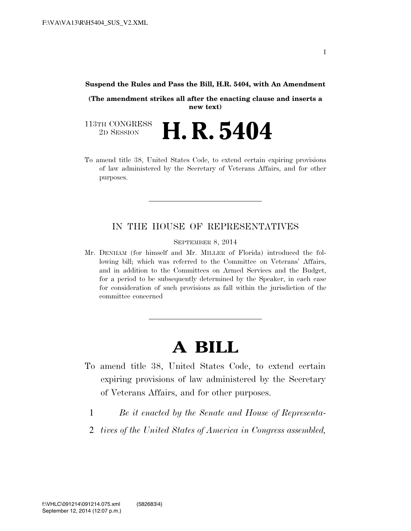#### **Suspend the Rules and Pass the Bill, H.R. 5404, with An Amendment**

**(The amendment strikes all after the enacting clause and inserts a new text)** 

113TH CONGRESS<br>2D SESSION 2D SESSION **H. R. 5404** 

To amend title 38, United States Code, to extend certain expiring provisions of law administered by the Secretary of Veterans Affairs, and for other purposes.

### IN THE HOUSE OF REPRESENTATIVES

SEPTEMBER 8, 2014

Mr. DENHAM (for himself and Mr. MILLER of Florida) introduced the following bill; which was referred to the Committee on Veterans' Affairs, and in addition to the Committees on Armed Services and the Budget, for a period to be subsequently determined by the Speaker, in each case for consideration of such provisions as fall within the jurisdiction of the committee concerned

# **A BILL**

- To amend title 38, United States Code, to extend certain expiring provisions of law administered by the Secretary of Veterans Affairs, and for other purposes.
	- 1 *Be it enacted by the Senate and House of Representa-*
	- 2 *tives of the United States of America in Congress assembled,*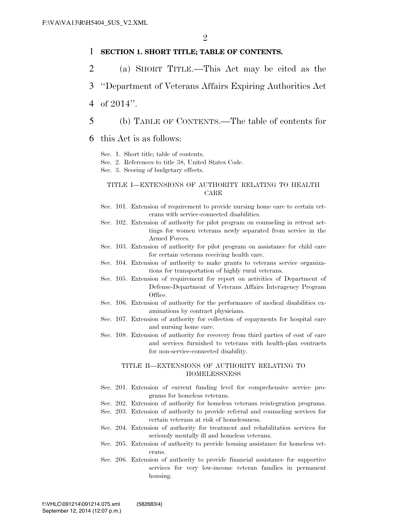#### 1 **SECTION 1. SHORT TITLE; TABLE OF CONTENTS.**

- 2 (a) SHORT TITLE.—This Act may be cited as the
- 3 ''Department of Veterans Affairs Expiring Authorities Act
- 4 of 2014''.
- 5 (b) TABLE OF CONTENTS.—The table of contents for
- 6 this Act is as follows:
	- Sec. 1. Short title; table of contents.
	- Sec. 2. References to title 38, United States Code.
	- Sec. 3. Scoring of budgetary effects.

#### TITLE I—EXTENSIONS OF AUTHORITY RELATING TO HEALTH CARE

- Sec. 101. Extension of requirement to provide nursing home care to certain veterans with service-connected disabilities.
- Sec. 102. Extension of authority for pilot program on counseling in retreat settings for women veterans newly separated from service in the Armed Forces.
- Sec. 103. Extension of authority for pilot program on assistance for child care for certain veterans receiving health care.
- Sec. 104. Extension of authority to make grants to veterans service organizations for transportation of highly rural veterans.
- Sec. 105. Extension of requirement for report on activities of Department of Defense-Department of Veterans Affairs Interagency Program Office.
- Sec. 106. Extension of authority for the performance of medical disabilities examinations by contract physicians.
- Sec. 107. Extension of authority for collection of copayments for hospital care and nursing home care.
- Sec. 108. Extension of authority for recovery from third parties of cost of care and services furnished to veterans with health-plan contracts for non-service-connected disability.

#### TITLE II—EXTENSIONS OF AUTHORITY RELATING TO **HOMELESSNESS**

- Sec. 201. Extension of current funding level for comprehensive service programs for homeless veterans.
- Sec. 202. Extension of authority for homeless veterans reintegration programs.
- Sec. 203. Extension of authority to provide referral and counseling services for certain veterans at risk of homelessness.
- Sec. 204. Extension of authority for treatment and rehabilitation services for seriously mentally ill and homeless veterans.
- Sec. 205. Extension of authority to provide housing assistance for homeless veterans.
- Sec. 206. Extension of authority to provide financial assistance for supportive services for very low-income veteran families in permanent housing.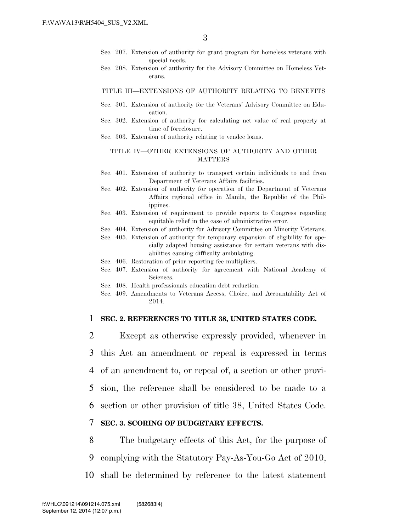- Sec. 207. Extension of authority for grant program for homeless veterans with special needs.
- Sec. 208. Extension of authority for the Advisory Committee on Homeless Veterans.

#### TITLE III—EXTENSIONS OF AUTHORITY RELATING TO BENEFITS

- Sec. 301. Extension of authority for the Veterans' Advisory Committee on Education.
- Sec. 302. Extension of authority for calculating net value of real property at time of foreclosure.
- Sec. 303. Extension of authority relating to vendee loans.

#### TITLE IV—OTHER EXTENSIONS OF AUTHORITY AND OTHER MATTERS

- Sec. 401. Extension of authority to transport certain individuals to and from Department of Veterans Affairs facilities.
- Sec. 402. Extension of authority for operation of the Department of Veterans Affairs regional office in Manila, the Republic of the Philippines.
- Sec. 403. Extension of requirement to provide reports to Congress regarding equitable relief in the case of administrative error.
- Sec. 404. Extension of authority for Advisory Committee on Minority Veterans.
- Sec. 405. Extension of authority for temporary expansion of eligibility for specially adapted housing assistance for certain veterans with disabilities causing difficulty ambulating.
- Sec. 406. Restoration of prior reporting fee multipliers.
- Sec. 407. Extension of authority for agreement with National Academy of Sciences.
- Sec. 408. Health professionals education debt reduction.
- Sec. 409. Amendments to Veterans Access, Choice, and Accountability Act of 2014.

#### 1 **SEC. 2. REFERENCES TO TITLE 38, UNITED STATES CODE.**

 Except as otherwise expressly provided, whenever in this Act an amendment or repeal is expressed in terms of an amendment to, or repeal of, a section or other provi- sion, the reference shall be considered to be made to a section or other provision of title 38, United States Code.

#### 7 **SEC. 3. SCORING OF BUDGETARY EFFECTS.**

8 The budgetary effects of this Act, for the purpose of 9 complying with the Statutory Pay-As-You-Go Act of 2010, 10 shall be determined by reference to the latest statement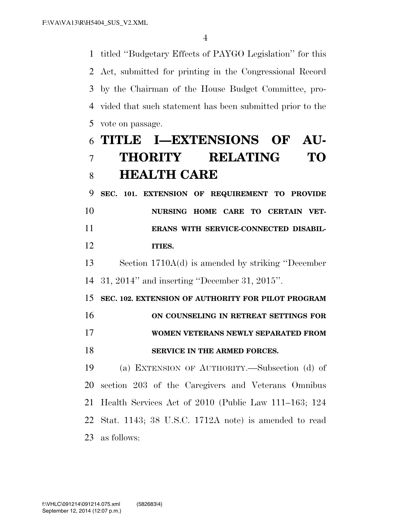titled ''Budgetary Effects of PAYGO Legislation'' for this Act, submitted for printing in the Congressional Record by the Chairman of the House Budget Committee, pro- vided that such statement has been submitted prior to the vote on passage.

## **TITLE I—EXTENSIONS OF AU- THORITY RELATING TO HEALTH CARE**

 **SEC. 101. EXTENSION OF REQUIREMENT TO PROVIDE NURSING HOME CARE TO CERTAIN VET- ERANS WITH SERVICE-CONNECTED DISABIL-ITIES.** 

 Section 1710A(d) is amended by striking ''December 31, 2014'' and inserting ''December 31, 2015''.

**SEC. 102. EXTENSION OF AUTHORITY FOR PILOT PROGRAM** 

**ON COUNSELING IN RETREAT SETTINGS FOR** 

## **WOMEN VETERANS NEWLY SEPARATED FROM**

### **SERVICE IN THE ARMED FORCES.**

 (a) EXTENSION OF AUTHORITY.—Subsection (d) of section 203 of the Caregivers and Veterans Omnibus Health Services Act of 2010 (Public Law 111–163; 124 Stat. 1143; 38 U.S.C. 1712A note) is amended to read as follows: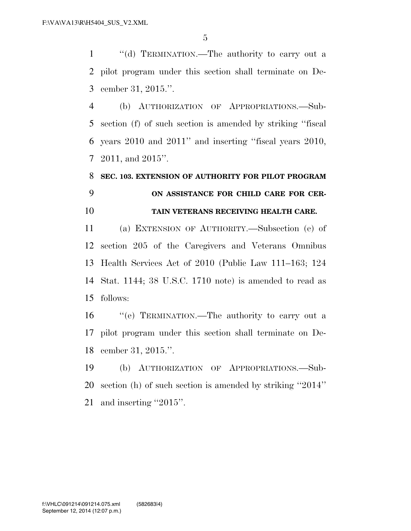''(d) TERMINATION.—The authority to carry out a pilot program under this section shall terminate on De-cember 31, 2015.''.

 (b) AUTHORIZATION OF APPROPRIATIONS.—Sub- section (f) of such section is amended by striking ''fiscal years 2010 and 2011'' and inserting ''fiscal years 2010, 2011, and 2015''.

## **SEC. 103. EXTENSION OF AUTHORITY FOR PILOT PROGRAM ON ASSISTANCE FOR CHILD CARE FOR CER-TAIN VETERANS RECEIVING HEALTH CARE.**

 (a) EXTENSION OF AUTHORITY.—Subsection (e) of section 205 of the Caregivers and Veterans Omnibus Health Services Act of 2010 (Public Law 111–163; 124 Stat. 1144; 38 U.S.C. 1710 note) is amended to read as follows:

 ''(e) TERMINATION.—The authority to carry out a pilot program under this section shall terminate on De-cember 31, 2015.''.

 (b) AUTHORIZATION OF APPROPRIATIONS.—Sub- section (h) of such section is amended by striking ''2014'' 21 and inserting "2015".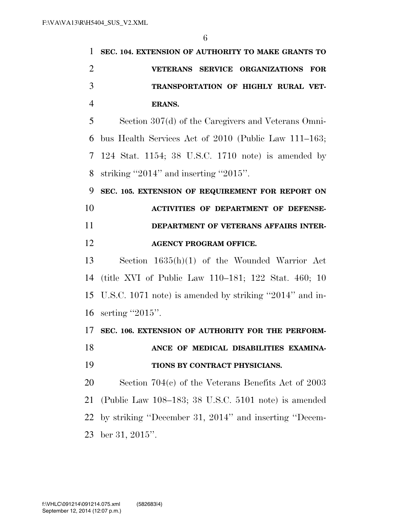| 1              | SEC. 104. EXTENSION OF AUTHORITY TO MAKE GRANTS TO         |
|----------------|------------------------------------------------------------|
| $\overline{2}$ | VETERANS SERVICE ORGANIZATIONS FOR                         |
| 3              | TRANSPORTATION OF HIGHLY RURAL VET-                        |
| $\overline{4}$ | <b>ERANS.</b>                                              |
| 5              | Section 307(d) of the Caregivers and Veterans Omni-        |
| 6              | bus Health Services Act of 2010 (Public Law 111–163;       |
| $\tau$         | 124 Stat. 1154; 38 U.S.C. 1710 note) is amended by         |
| 8              | striking "2014" and inserting "2015".                      |
| 9              | SEC. 105. EXTENSION OF REQUIREMENT FOR REPORT ON           |
| 10             | <b>ACTIVITIES OF DEPARTMENT OF DEFENSE-</b>                |
| 11             | DEPARTMENT OF VETERANS AFFAIRS INTER-                      |
| 12             | <b>AGENCY PROGRAM OFFICE.</b>                              |
| 13             | Section $1635(h)(1)$ of the Wounded Warrior Act            |
| 14             | (title XVI of Public Law 110–181; 122 Stat. 460; 10        |
|                | 15 U.S.C. 1071 note) is amended by striking "2014" and in- |
| 16             | serting "2015".                                            |

**SEC. 106. EXTENSION OF AUTHORITY FOR THE PERFORM-**

 **ANCE OF MEDICAL DISABILITIES EXAMINA-TIONS BY CONTRACT PHYSICIANS.** 

 Section 704(c) of the Veterans Benefits Act of 2003 (Public Law 108–183; 38 U.S.C. 5101 note) is amended by striking ''December 31, 2014'' and inserting ''Decem-ber 31, 2015''.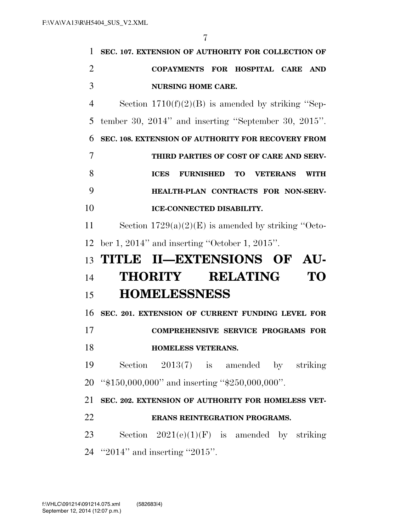| 1              | SEC. 107. EXTENSION OF AUTHORITY FOR COLLECTION OF                   |
|----------------|----------------------------------------------------------------------|
| $\overline{2}$ | COPAYMENTS FOR HOSPITAL CARE<br><b>AND</b>                           |
| 3              | <b>NURSING HOME CARE.</b>                                            |
| $\overline{4}$ | Section $1710(f)(2)(B)$ is amended by striking "Sep-                 |
| 5              | tember 30, $2014$ " and inserting "September 30, $2015$ ".           |
| 6              | SEC. 108. EXTENSION OF AUTHORITY FOR RECOVERY FROM                   |
| 7              | THIRD PARTIES OF COST OF CARE AND SERV-                              |
| 8              | <b>FURNISHED TO</b><br><b>VETERANS</b><br><b>ICES</b><br><b>WITH</b> |
| 9              | HEALTH-PLAN CONTRACTS FOR NON-SERV-                                  |
| 10             | <b>ICE-CONNECTED DISABILITY.</b>                                     |
| 11             | Section $1729(a)(2)(E)$ is amended by striking "Octo-                |
| 12             | ber 1, 2014" and inserting "October 1, 2015".                        |
|                |                                                                      |
| 13             | TITLE II—EXTENSIONS OF AU-                                           |
| 14             | THORITY RELATING<br>TO                                               |
| 15             | <b>HOMELESSNESS</b>                                                  |
| 16             | SEC. 201. EXTENSION OF CURRENT FUNDING LEVEL FOR                     |
|                | <b>COMPREHENSIVE SERVICE PROGRAMS FOR</b>                            |
| 17<br>18       | <b>HOMELESS VETERANS.</b>                                            |
| 19             | Section $2013(7)$ is amended by striking                             |
|                | 20 "\$150,000,000" and inserting "\$250,000,000".                    |
| 21             | SEC. 202. EXTENSION OF AUTHORITY FOR HOMELESS VET-                   |
| 22             | ERANS REINTEGRATION PROGRAMS.                                        |
| 23             | Section $2021(e)(1)(F)$ is amended by striking                       |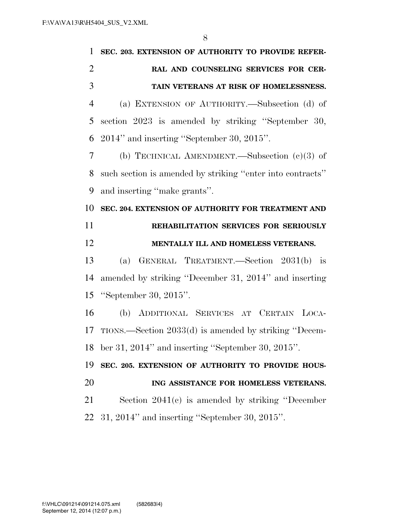| 1              | SEC. 203. EXTENSION OF AUTHORITY TO PROVIDE REFER-         |
|----------------|------------------------------------------------------------|
| $\overline{2}$ | RAL AND COUNSELING SERVICES FOR CER-                       |
| 3              | TAIN VETERANS AT RISK OF HOMELESSNESS.                     |
| 4              | (a) EXTENSION OF AUTHORITY.—Subsection (d) of              |
| 5              | section 2023 is amended by striking "September 30,         |
| 6              | 2014" and inserting "September 30, 2015".                  |
| 7              | (b) TECHNICAL AMENDMENT.—Subsection $(c)(3)$ of            |
| 8              | such section is amended by striking "enter into contracts" |
| 9              | and inserting "make grants".                               |
| 10             | SEC. 204. EXTENSION OF AUTHORITY FOR TREATMENT AND         |
| 11             | REHABILITATION SERVICES FOR SERIOUSLY                      |
|                |                                                            |
| 12             | MENTALLY ILL AND HOMELESS VETERANS.                        |
| 13             | (a) GENERAL TREATMENT.—Section 2031(b) is                  |
| 14             | amended by striking "December 31, 2014" and inserting      |
| 15             | "September 30, $2015$ ".                                   |
| 16             | (b) ADDITIONAL SERVICES AT CERTAIN LOCA-                   |
| 17             | TIONS.—Section 2033(d) is amended by striking "Decem-      |
| 18             | ber 31, 2014" and inserting "September 30, 2015".          |
| 19             | SEC. 205. EXTENSION OF AUTHORITY TO PROVIDE HOUS-          |
| 20             | ING ASSISTANCE FOR HOMELESS VETERANS.                      |
| 21             | Section $2041(c)$ is amended by striking "December"        |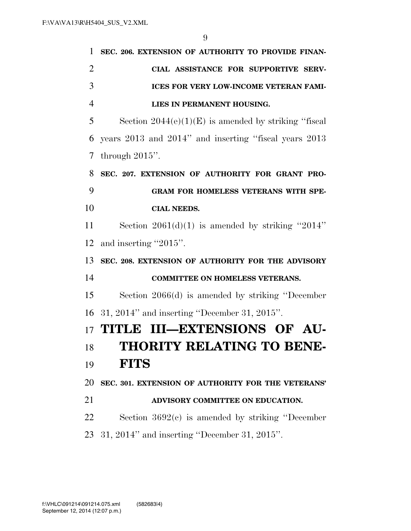| 1              | SEC. 206. EXTENSION OF AUTHORITY TO PROVIDE FINAN-     |
|----------------|--------------------------------------------------------|
| $\overline{2}$ | CIAL ASSISTANCE FOR SUPPORTIVE SERV-                   |
| 3              | <b>ICES FOR VERY LOW-INCOME VETERAN FAMI-</b>          |
| $\overline{4}$ | LIES IN PERMANENT HOUSING.                             |
| 5              | Section $2044(e)(1)(E)$ is amended by striking "fiscal |
| 6              | years 2013 and 2014" and inserting "fiscal years 2013  |
| 7              | through $2015$ ".                                      |
| 8              | SEC. 207. EXTENSION OF AUTHORITY FOR GRANT PRO-        |
| 9              | <b>GRAM FOR HOMELESS VETERANS WITH SPE-</b>            |
| 10             | <b>CIAL NEEDS.</b>                                     |
| 11             | Section $2061(d)(1)$ is amended by striking "2014"     |
| 12             | and inserting "2015".                                  |
| 13             | SEC. 208. EXTENSION OF AUTHORITY FOR THE ADVISORY      |
| 14             | <b>COMMITTEE ON HOMELESS VETERANS.</b>                 |
| 15             | Section $2066(d)$ is amended by striking "December"    |
| 16             | $31, 2014"$ and inserting "December 31, 2015".         |
| 17             | TITLE III—EXTENSIONS OF AU-                            |
| 18             | THORITY RELATING TO BENE-                              |
| 19             | <b>FITS</b>                                            |
| 20             | SEC. 301. EXTENSION OF AUTHORITY FOR THE VETERANS'     |
| 21             | ADVISORY COMMITTEE ON EDUCATION.                       |
| 22             | Section $3692(c)$ is amended by striking "December"    |
| 23             | $31, 2014"$ and inserting "December 31, 2015".         |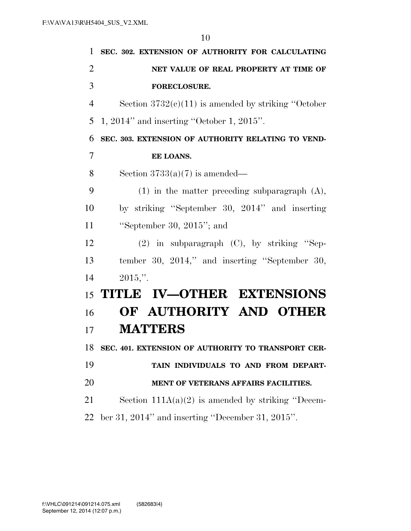| 1              | SEC. 302. EXTENSION OF AUTHORITY FOR CALCULATING       |
|----------------|--------------------------------------------------------|
| $\overline{2}$ | NET VALUE OF REAL PROPERTY AT TIME OF                  |
| 3              | <b>FORECLOSURE.</b>                                    |
| $\overline{4}$ | Section $3732(e)(11)$ is amended by striking "October" |
| 5              | $1, 2014"$ and inserting "October 1, 2015".            |
| 6              | SEC. 303. EXTENSION OF AUTHORITY RELATING TO VEND-     |
| $\overline{7}$ | EE LOANS.                                              |
| 8              | Section $3733(a)(7)$ is amended—                       |
| 9              | $(1)$ in the matter preceding subparagraph $(A)$ ,     |
| 10             | by striking "September 30, 2014" and inserting         |
| 11             | "September 30, $2015$ "; and                           |
| 12             | $(2)$ in subparagraph $(C)$ , by striking "Sep-        |
| 13             | tember 30, 2014," and inserting "September 30,         |
| 14             | $2015$ .".                                             |
| 15             | TITLE IV-OTHER EXTENSIONS                              |
| 16             | OF AUTHORITY AND OTHER                                 |
| 17             | <b>MATTERS</b>                                         |
| 18             | SEC. 401. EXTENSION OF AUTHORITY TO TRANSPORT CER-     |
| 19             | TAIN INDIVIDUALS TO AND FROM DEPART-                   |
| 20             | MENT OF VETERANS AFFAIRS FACILITIES.                   |
| 21             | Section $111A(a)(2)$ is amended by striking "Decem-    |
| 22             | ber 31, 2014" and inserting "December 31, 2015".       |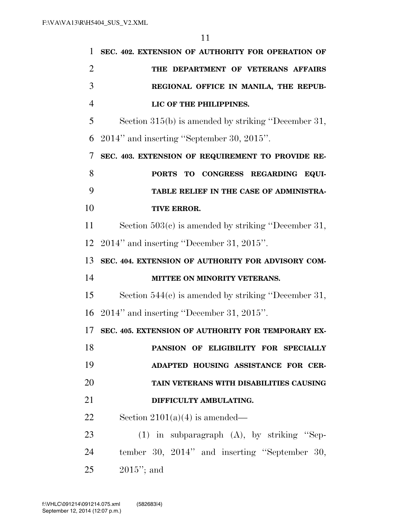| 1              | SEC. 402. EXTENSION OF AUTHORITY FOR OPERATION OF     |
|----------------|-------------------------------------------------------|
| $\overline{2}$ | THE DEPARTMENT OF VETERANS AFFAIRS                    |
| 3              | REGIONAL OFFICE IN MANILA, THE REPUB-                 |
| $\overline{4}$ | LIC OF THE PHILIPPINES.                               |
| 5              | Section 315(b) is amended by striking "December 31,   |
| 6              | 2014" and inserting "September 30, 2015".             |
| 7              | SEC. 403. EXTENSION OF REQUIREMENT TO PROVIDE RE-     |
| 8              | PORTS TO CONGRESS REGARDING EQUI-                     |
| 9              | TABLE RELIEF IN THE CASE OF ADMINISTRA-               |
| 10             | TIVE ERROR.                                           |
| 11             | Section $503(c)$ is amended by striking "December 31, |
| 12             | $2014$ " and inserting "December 31, $2015$ ".        |
| 13             | SEC. 404. EXTENSION OF AUTHORITY FOR ADVISORY COM-    |
| 14             | MITTEE ON MINORITY VETERANS.                          |
| 15             | Section $544(e)$ is amended by striking "December 31, |
|                | 16 2014" and inserting "December 31, 2015".           |
| 17             | SEC. 405. EXTENSION OF AUTHORITY FOR TEMPORARY EX-    |
| 18             | PANSION OF ELIGIBILITY FOR SPECIALLY                  |
| 19             | ADAPTED HOUSING ASSISTANCE FOR CER-                   |
| 20             | TAIN VETERANS WITH DISABILITIES CAUSING               |
| 21             | DIFFICULTY AMBULATING.                                |
| 22             | Section $2101(a)(4)$ is amended—                      |
| 23             | $(1)$ in subparagraph $(A)$ , by striking "Sep-       |
| 24             | tember 30, 2014" and inserting "September 30,         |
| 25             | $2015$ "; and                                         |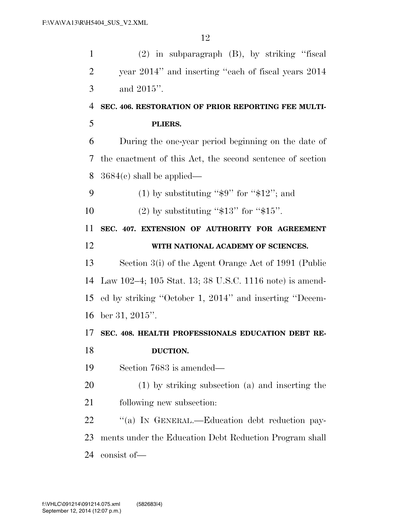| $\mathbf{1}$   | $(2)$ in subparagraph $(B)$ , by striking "fiscal                |
|----------------|------------------------------------------------------------------|
| $\overline{2}$ | year 2014" and inserting "each of fiscal years 2014              |
| 3              | and 2015".                                                       |
| $\overline{4}$ | SEC. 406. RESTORATION OF PRIOR REPORTING FEE MULTI-              |
| 5              | PLIERS.                                                          |
| 6              | During the one-year period beginning on the date of              |
| 7              | the enactment of this Act, the second sentence of section        |
| 8              | $3684(c)$ shall be applied—                                      |
| 9              | (1) by substituting " $\frac{6}{3}$ " for " $\frac{4}{3}$ "; and |
| 10             | (2) by substituting " $$13"$ for " $$15"$ .                      |
| 11             | SEC. 407. EXTENSION OF AUTHORITY FOR AGREEMENT                   |
| 12             | WITH NATIONAL ACADEMY OF SCIENCES.                               |
| 13             | Section 3(i) of the Agent Orange Act of 1991 (Public             |
| 14             | Law 102-4; 105 Stat. 13; 38 U.S.C. 1116 note) is amend-          |
| 15             | ed by striking "October 1, 2014" and inserting "Decem-           |
| 16             | ber 31, 2015".                                                   |
| 17             | SEC. 408. HEALTH PROFESSIONALS EDUCATION DEBT RE-                |
| 18             | DUCTION.                                                         |
| 19             | Section 7683 is amended—                                         |
| 20             | (1) by striking subsection (a) and inserting the                 |
| 21             | following new subsection:                                        |
| 22             | "(a) IN GENERAL.—Education debt reduction pay-                   |
| 23             | ments under the Education Debt Reduction Program shall           |
| 24             |                                                                  |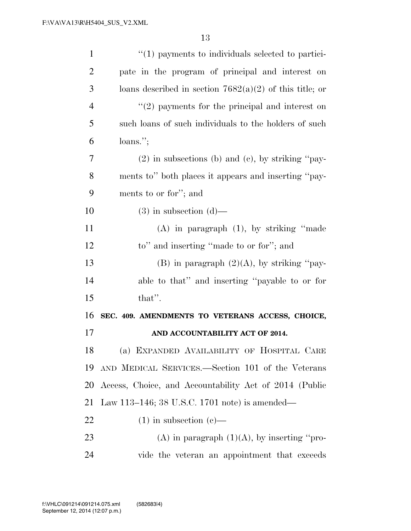| $\mathbf{1}$   | $\lq(1)$ payments to individuals selected to partici-     |
|----------------|-----------------------------------------------------------|
| $\overline{2}$ | pate in the program of principal and interest on          |
| 3              | loans described in section $7682(a)(2)$ of this title; or |
| $\overline{4}$ | $\lq(2)$ payments for the principal and interest on       |
| 5              | such loans of such individuals to the holders of such     |
| 6              | $loans.$ ";                                               |
| 7              | $(2)$ in subsections (b) and (c), by striking "pay-       |
| 8              | ments to" both places it appears and inserting "pay-      |
| 9              | ments to or for"; and                                     |
| 10             | $(3)$ in subsection $(d)$ —                               |
| 11             | $(A)$ in paragraph $(1)$ , by striking "made              |
| 12             | to" and inserting "made to or for"; and                   |
| 13             | (B) in paragraph $(2)(A)$ , by striking "pay-             |
| 14             | able to that" and inserting "payable to or for            |
| 15             | that".                                                    |
| 16             | SEC. 409. AMENDMENTS TO VETERANS ACCESS, CHOICE,          |
| 17             | AND ACCOUNTABILITY ACT OF 2014.                           |
| 18             | (a) EXPANDED AVAILABILITY OF HOSPITAL CARE                |
| 19             | AND MEDICAL SERVICES.—Section 101 of the Veterans         |
| 20             | Access, Choice, and Accountability Act of 2014 (Public    |
| 21             | Law 113–146; 38 U.S.C. 1701 note) is amended—             |
| 22             | $(1)$ in subsection $(e)$ —                               |
| 23             | (A) in paragraph $(1)(A)$ , by inserting "pro-            |
| 24             | vide the veteran an appointment that exceeds              |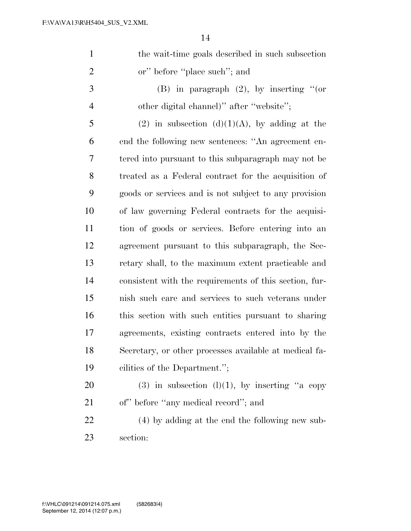| $\mathbf{1}$   | the wait-time goals described in such subsection       |
|----------------|--------------------------------------------------------|
| $\overline{2}$ | or" before "place such"; and                           |
| 3              | (B) in paragraph $(2)$ , by inserting "(or             |
| $\overline{4}$ | other digital channel)" after "website";               |
| 5              | (2) in subsection (d)(1)(A), by adding at the          |
| 6              | end the following new sentences: "An agreement en-     |
| 7              | tered into pursuant to this subparagraph may not be    |
| 8              | treated as a Federal contract for the acquisition of   |
| 9              | goods or services and is not subject to any provision  |
| 10             | of law governing Federal contracts for the acquisi-    |
| 11             | tion of goods or services. Before entering into an     |
| 12             | agreement pursuant to this subparagraph, the Sec-      |
| 13             | retary shall, to the maximum extent practicable and    |
| 14             | consistent with the requirements of this section, fur- |
| 15             | nish such care and services to such veterans under     |
| 16             | this section with such entities pursuant to sharing    |
| 17             | agreements, existing contracts entered into by the     |
| 18             | Secretary, or other processes available at medical fa- |
| 19             | cilities of the Department.";                          |
| 20             | (3) in subsection (1)(1), by inserting "a copy         |
| 21             | of" before "any medical record"; and                   |
| 22             | (4) by adding at the end the following new sub-        |
| 23             | section:                                               |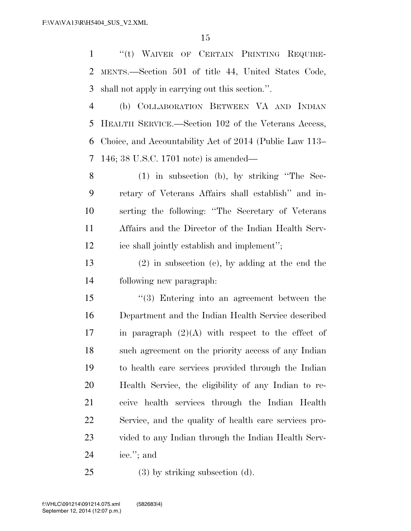''(t) WAIVER OF CERTAIN PRINTING REQUIRE- MENTS.—Section 501 of title 44, United States Code, shall not apply in carrying out this section.''.

 (b) COLLABORATION BETWEEN VA AND INDIAN HEALTH SERVICE.—Section 102 of the Veterans Access, Choice, and Accountability Act of 2014 (Public Law 113– 146; 38 U.S.C. 1701 note) is amended—

 (1) in subsection (b), by striking ''The Sec- retary of Veterans Affairs shall establish'' and in- serting the following: ''The Secretary of Veterans Affairs and the Director of the Indian Health Serv-ice shall jointly establish and implement'';

 (2) in subsection (c), by adding at the end the following new paragraph:

 ''(3) Entering into an agreement between the Department and the Indian Health Service described 17 in paragraph  $(2)(A)$  with respect to the effect of such agreement on the priority access of any Indian to health care services provided through the Indian Health Service, the eligibility of any Indian to re- ceive health services through the Indian Health Service, and the quality of health care services pro- vided to any Indian through the Indian Health Serv-ice.''; and

(3) by striking subsection (d).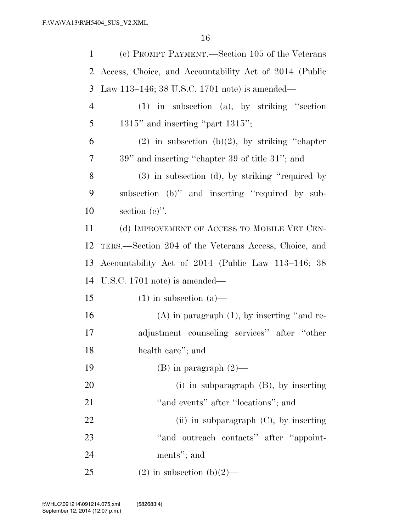| 1              | (c) PROMPT PAYMENT.—Section 105 of the Veterans        |
|----------------|--------------------------------------------------------|
| 2              | Access, Choice, and Accountability Act of 2014 (Public |
| 3              | Law 113–146; 38 U.S.C. 1701 note) is amended—          |
| $\overline{4}$ | $(1)$ in subsection $(a)$ , by striking "section       |
| 5              | $1315$ " and inserting "part $1315$ ";                 |
| 6              | $(2)$ in subsection $(b)(2)$ , by striking "chapter"   |
| 7              | 39" and inserting "chapter 39 of title 31"; and        |
| 8              | $(3)$ in subsection $(d)$ , by striking "required by   |
| 9              | subsection (b)" and inserting "required by sub-        |
| 10             | section $(e)$ ".                                       |
| 11             | (d) IMPROVEMENT OF ACCESS TO MOBILE VET CEN-           |
| 12             | TERS.—Section 204 of the Veterans Access, Choice, and  |
| 13             | Accountability Act of 2014 (Public Law 113-146; 38     |
| 14             | U.S.C. $1701$ note) is amended—                        |
| 15             | $(1)$ in subsection $(a)$ —                            |
| 16             | $(A)$ in paragraph $(1)$ , by inserting "and re-       |
| 17             | adjustment counseling services" after "other           |
| 18             | health care"; and                                      |
| 19             | $(B)$ in paragraph $(2)$ —                             |
| 20             | $(i)$ in subparagraph $(B)$ , by inserting             |
| 21             | "and events" after "locations"; and                    |
| 22             | (ii) in subparagraph $(C)$ , by inserting              |
| 23             | "and outreach contacts" after "appoint-                |
| 24             | ments"; and                                            |
| 25             | $(2)$ in subsection $(b)(2)$ —                         |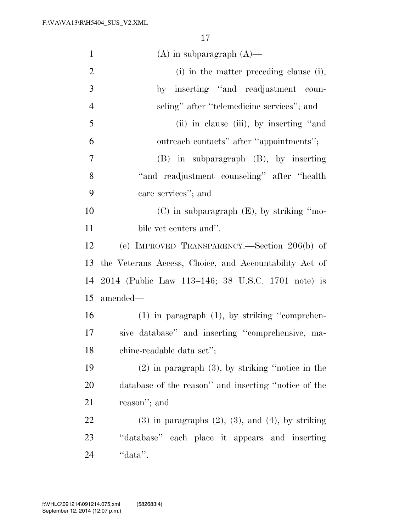| $\mathbf{1}$   | $(A)$ in subparagraph $(A)$ —                               |  |
|----------------|-------------------------------------------------------------|--|
| $\overline{2}$ | (i) in the matter preceding clause (i),                     |  |
| $\mathfrak{Z}$ | by inserting "and readjustment coun-                        |  |
| $\overline{4}$ | seling" after "telemedicine services"; and                  |  |
| 5              | (ii) in clause (iii), by inserting "and                     |  |
| 6              | outreach contacts" after "appointments";                    |  |
| 7              | $(B)$ in subparagraph $(B)$ , by inserting                  |  |
| 8              | "and readjustment counseling" after "health                 |  |
| 9              | care services"; and                                         |  |
| 10             | $(C)$ in subparagraph $(E)$ , by striking "mo-              |  |
| 11             | bile vet centers and".                                      |  |
| 12             | (e) IMPROVED TRANSPARENCY.—Section 206(b) of                |  |
| 13             | the Veterans Access, Choice, and Accountability Act of      |  |
| 14             | 2014 (Public Law 113–146; 38 U.S.C. 1701 note) is           |  |
| 15             | amended—                                                    |  |
| 16             | $(1)$ in paragraph $(1)$ , by striking "comprehen-          |  |
| 17             | sive database" and inserting "comprehensive, ma-            |  |
| 18             | chine-readable data set";                                   |  |
| 19             | $(2)$ in paragraph $(3)$ , by striking "notice in the       |  |
| 20             | database of the reason" and inserting "notice of the        |  |
| 21             | reason"; and                                                |  |
|                |                                                             |  |
| 22             | $(3)$ in paragraphs $(2)$ , $(3)$ , and $(4)$ , by striking |  |
| 23             | "database" each place it appears and inserting              |  |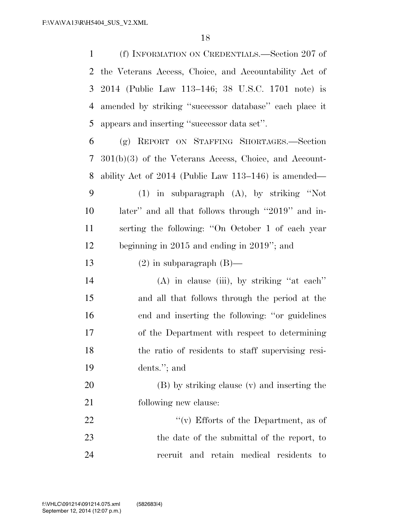(f) INFORMATION ON CREDENTIALS.—Section 207 of the Veterans Access, Choice, and Accountability Act of 2014 (Public Law 113–146; 38 U.S.C. 1701 note) is amended by striking ''successor database'' each place it appears and inserting ''successor data set''.

 (g) REPORT ON STAFFING SHORTAGES.—Section 301(b)(3) of the Veterans Access, Choice, and Account- ability Act of 2014 (Public Law 113–146) is amended— (1) in subparagraph (A), by striking ''Not later'' and all that follows through ''2019'' and in- serting the following: ''On October 1 of each year beginning in 2015 and ending in 2019''; and

13 (2) in subparagraph  $(B)$ —

 (A) in clause (iii), by striking ''at each'' and all that follows through the period at the end and inserting the following: ''or guidelines of the Department with respect to determining the ratio of residents to staff supervising resi-dents.''; and

 (B) by striking clause (v) and inserting the following new clause:

22  $\langle \hat{v}(v) \rangle$  Efforts of the Department, as of the date of the submittal of the report, to recruit and retain medical residents to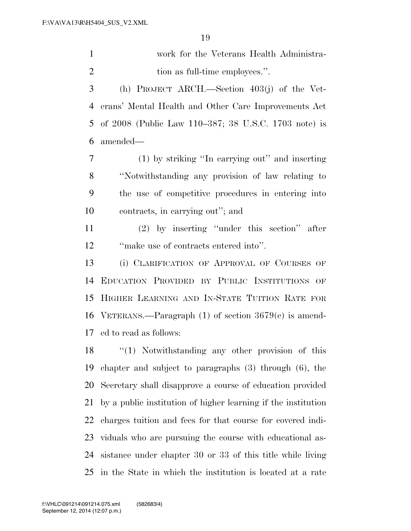| work for the Veterans Health Administra- |
|------------------------------------------|
| tion as full-time employees.".           |

 (h) PROJECT ARCH.—Section 403(j) of the Vet- erans' Mental Health and Other Care Improvements Act of 2008 (Public Law 110–387; 38 U.S.C. 1703 note) is amended—

 (1) by striking ''In carrying out'' and inserting ''Notwithstanding any provision of law relating to the use of competitive procedures in entering into contracts, in carrying out''; and

 (2) by inserting ''under this section'' after ''make use of contracts entered into''.

 (i) CLARIFICATION OF APPROVAL OF COURSES OF EDUCATION PROVIDED BY PUBLIC INSTITUTIONS OF HIGHER LEARNING AND IN-STATE TUITION RATE FOR VETERANS.—Paragraph (1) of section 3679(c) is amend-ed to read as follows:

18 "(1) Notwithstanding any other provision of this chapter and subject to paragraphs (3) through (6), the Secretary shall disapprove a course of education provided by a public institution of higher learning if the institution charges tuition and fees for that course for covered indi- viduals who are pursuing the course with educational as- sistance under chapter 30 or 33 of this title while living in the State in which the institution is located at a rate